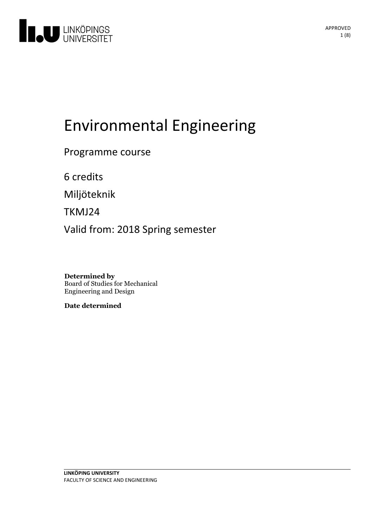

# Environmental Engineering

Programme course

6 credits

Miljöteknik

TKMJ24

Valid from: 2018 Spring semester

**Determined by** Board of Studies for Mechanical Engineering and Design

**Date determined**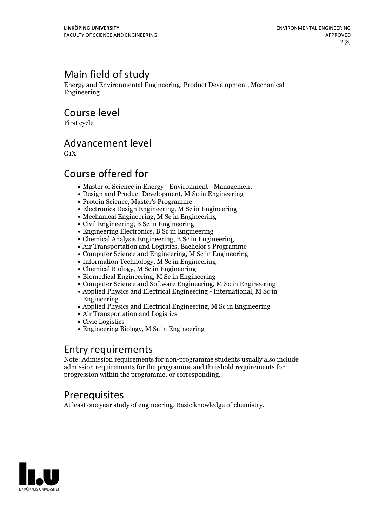# Main field of study

Energy and Environmental Engineering, Product Development, Mechanical Engineering

Course level

First cycle

### Advancement level

 $G_1X$ 

### Course offered for

- Master of Science in Energy Environment Management
- Design and Product Development, M Sc in Engineering
- Protein Science, Master's Programme
- Electronics Design Engineering, M Sc in Engineering
- Mechanical Engineering, M Sc in Engineering
- Civil Engineering, B Sc in Engineering
- Engineering Electronics, B Sc in Engineering
- Chemical Analysis Engineering, B Sc in Engineering
- Air Transportation and Logistics, Bachelor's Programme
- Computer Science and Engineering, M Sc in Engineering
- Information Technology, M Sc in Engineering
- Chemical Biology, M Sc in Engineering
- Biomedical Engineering, M Sc in Engineering
- Computer Science and Software Engineering, M Sc in Engineering
- Applied Physics and Electrical Engineering International, M Sc in Engineering
- Applied Physics and Electrical Engineering, M Sc in Engineering
- Air Transportation and Logistics
- Civic Logistics
- Engineering Biology, M Sc in Engineering

### Entry requirements

Note: Admission requirements for non-programme students usually also include admission requirements for the programme and threshold requirements for progression within the programme, or corresponding.

### **Prerequisites**

At least one year study of engineering. Basic knowledge of chemistry.

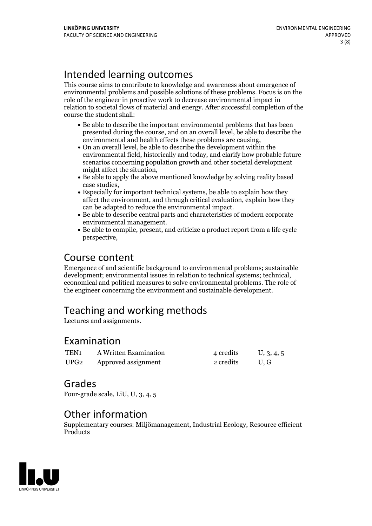# Intended learning outcomes

This course aims to contribute to knowledge and awareness about emergence of environmental problems and possible solutions of these problems. Focus is on the role of the engineer in proactive work to decrease environmental impact in relation to societal flows of material and energy. After successful completion of the course the student shall:

- Be able to describe the important environmental problems that has been presented during the course, and on an overall level, be able to describe the environmental and health effects these problems are causing,<br>• On an overall level, be able to describe the development within the
- environmental field, historically and today, and clarify how probable future scenarios concerning population growth and other societal development might affect the situation,<br>• Be able to apply the above mentioned knowledge by solving reality based
- case studies,<br>• Especially for important technical systems, be able to explain how they
- affect the environment, and through critical evaluation, explain how they
- can be adapted to reduce the environmental impact.<br>• Be able to describe central parts and characteristics of modern corporate environmental management.<br>• Be able to compile, present, and criticize a product report from a life cycle
- perspective,

# Course content

Emergence of and scientific background to environmental problems; sustainable development; environmental issues in relation to technical systems; technical, economical and political measures to solve environmental problems. The role of the engineer concerning the environment and sustainable development.

# Teaching and working methods

Lectures and assignments.

### Examination

| TEN <sub>1</sub> | A Written Examination    | 4 credits | U, 3, 4, 5 |
|------------------|--------------------------|-----------|------------|
|                  | UPG2 Approved assignment | 2 credits | U.G        |

### Grades

Four-grade scale, LiU, U, 3, 4, 5

### Other information

Supplementary courses: Miljömanagement, Industrial Ecology, Resource efficient **Products** 

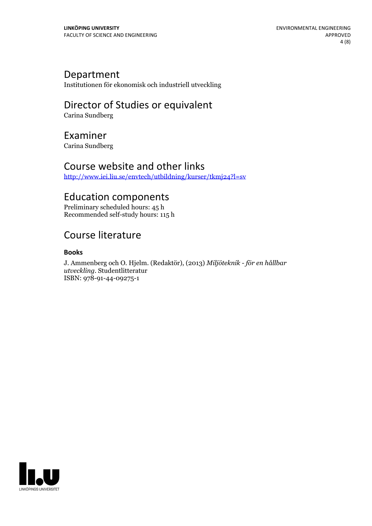### Department

Institutionen för ekonomisk och industriell utveckling

# Director of Studies or equivalent

Carina Sundberg

### Examiner

Carina Sundberg

### Course website and other links

<http://www.iei.liu.se/envtech/utbildning/kurser/tkmj24?l=sv>

# Education components

Preliminary scheduled hours: 45 h Recommended self-study hours: 115 h

# Course literature

#### **Books**

J. Ammenberg och O. Hjelm. (Redaktör), (2013) *Miljöteknik - för en hållbar utveckling.* Studentlitteratur ISBN: 978-91-44-09275-1

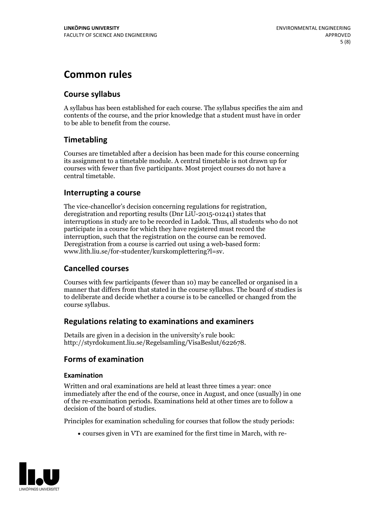# **Common rules**

#### **Course syllabus**

A syllabus has been established for each course. The syllabus specifies the aim and contents of the course, and the prior knowledge that a student must have in order to be able to benefit from the course.

#### **Timetabling**

Courses are timetabled after a decision has been made for this course concerning its assignment to a timetable module. A central timetable is not drawn up for courses with fewer than five participants. Most project courses do not have a central timetable.

#### **Interrupting a course**

The vice-chancellor's decision concerning regulations for registration, deregistration and reporting results (Dnr LiU-2015-01241) states that interruptions in study are to be recorded in Ladok. Thus, all students who do not participate in a course for which they have registered must record the interruption, such that the registration on the course can be removed. Deregistration from <sup>a</sup> course is carried outusing <sup>a</sup> web-based form: www.lith.liu.se/for-studenter/kurskomplettering?l=sv.

#### **Cancelled courses**

Courses with few participants (fewer than 10) may be cancelled or organised in a manner that differs from that stated in the course syllabus. The board of studies is to deliberate and decide whether a course is to be cancelled orchanged from the course syllabus.

#### **Regulations relatingto examinations and examiners**

Details are given in a decision in the university's rule book: http://styrdokument.liu.se/Regelsamling/VisaBeslut/622678.

#### **Forms of examination**

#### **Examination**

Written and oral examinations are held at least three times a year: once immediately after the end of the course, once in August, and once (usually) in one of the re-examination periods. Examinations held at other times are to follow a decision of the board of studies.

Principles for examination scheduling for courses that follow the study periods:

courses given in VT1 are examined for the first time in March, with re-

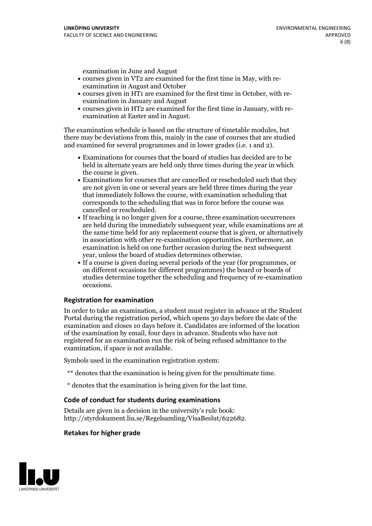examination in June and August

- courses given in VT2 are examined for the first time in May, with re-examination in August and October
- courses given in HT1 are examined for the first time in October, with re-examination in January and August
- courses given in HT2 are examined for the first time in January, with re-examination at Easter and in August.

The examination schedule is based on the structure of timetable modules, but there may be deviations from this, mainly in the case of courses that are studied and examined for several programmes and in lower grades (i.e. 1 and 2).

- Examinations for courses that the board of studies has decided are to be held in alternate years are held only three times during the year in which the course is given.<br>• Examinations for courses that are cancelled or rescheduled such that they
- are not given in one or several years are held three times during the year that immediately follows the course, with examination scheduling that corresponds to the scheduling that was in force before the course was cancelled or rescheduled.<br>• If teaching is no longer given for a course, three examination occurrences
- are held during the immediately subsequent year, while examinations are at the same time held for any replacement course that is given, or alternatively in association with other re-examination opportunities. Furthermore, an examination is held on one further occasion during the next subsequent year, unless the board of studies determines otherwise.<br>• If a course is given during several periods of the year (for programmes, or
- on different occasions for different programmes) the board orboards of studies determine together the scheduling and frequency of re-examination occasions.

#### **Registration for examination**

In order to take an examination, a student must register in advance at the Student Portal during the registration period, which opens 30 days before the date of the examination and closes 10 days before it. Candidates are informed of the location of the examination by email, four days in advance. Students who have not registered for an examination run the risk of being refused admittance to the examination, if space is not available.

Symbols used in the examination registration system:

- \*\* denotes that the examination is being given for the penultimate time.
- \* denotes that the examination is being given for the last time.

#### **Code of conduct for students during examinations**

Details are given in a decision in the university's rule book: http://styrdokument.liu.se/Regelsamling/VisaBeslut/622682.

#### **Retakes for higher grade**

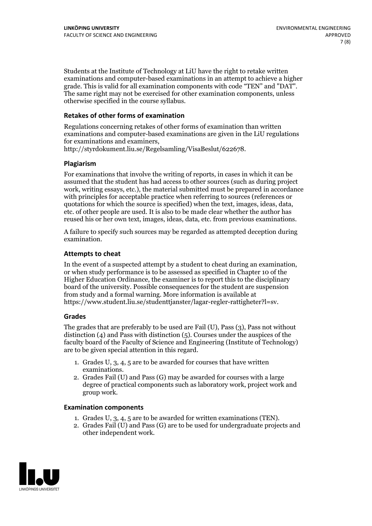Students at the Institute of Technology at LiU have the right to retake written examinations and computer-based examinations in an attempt to achieve a higher grade. This is valid for all examination components with code "TEN" and "DAT". The same right may not be exercised for other examination components, unless otherwise specified in the course syllabus.

#### **Retakes of other forms of examination**

Regulations concerning retakes of other forms of examination than written examinations and computer-based examinations are given in the LiU regulations for examinations and examiners, http://styrdokument.liu.se/Regelsamling/VisaBeslut/622678.

#### **Plagiarism**

For examinations that involve the writing of reports, in cases in which it can be assumed that the student has had access to other sources (such as during project work, writing essays, etc.), the material submitted must be prepared in accordance with principles for acceptable practice when referring to sources (references or quotations for which the source is specified) when the text, images, ideas, data, etc. of other people are used. It is also to be made clear whether the author has reused his or her own text, images, ideas, data, etc. from previous examinations.

A failure to specify such sources may be regarded as attempted deception during examination.

#### **Attempts to cheat**

In the event of <sup>a</sup> suspected attempt by <sup>a</sup> student to cheat during an examination, or when study performance is to be assessed as specified in Chapter <sup>10</sup> of the Higher Education Ordinance, the examiner is to report this to the disciplinary board of the university. Possible consequences for the student are suspension from study and a formal warning. More information is available at https://www.student.liu.se/studenttjanster/lagar-regler-rattigheter?l=sv.

#### **Grades**

The grades that are preferably to be used are Fail (U), Pass (3), Pass not without distinction  $(4)$  and Pass with distinction  $(5)$ . Courses under the auspices of the faculty board of the Faculty of Science and Engineering (Institute of Technology) are to be given special attention in this regard.

- 1. Grades U, 3, 4, 5 are to be awarded for courses that have written
- examinations. 2. Grades Fail (U) and Pass (G) may be awarded for courses with <sup>a</sup> large degree of practical components such as laboratory work, project work and group work.

#### **Examination components**

- 
- 1. Grades U, 3, 4, <sup>5</sup> are to be awarded for written examinations (TEN). 2. Grades Fail (U) and Pass (G) are to be used for undergraduate projects and other independent work.